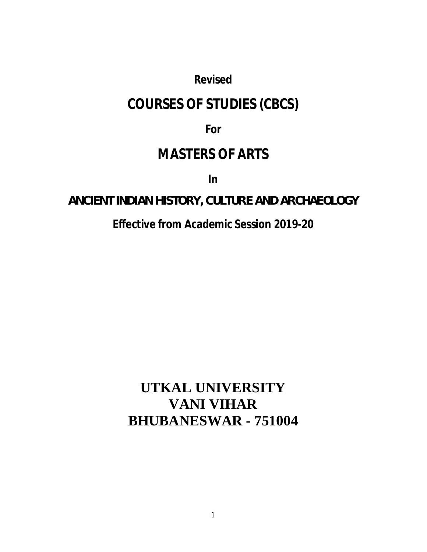# *Revised*

# **COURSES OF STUDIES (CBCS)**

# **For**

# **MASTERS OF ARTS**

**In**

# **ANCIENT INDIAN HISTORY, CULTURE AND ARCHAEOLOGY**

# **Effective from Academic Session 2019-20**

# **UTKAL UNIVERSITY VANI VIHAR BHUBANESWAR - 751004**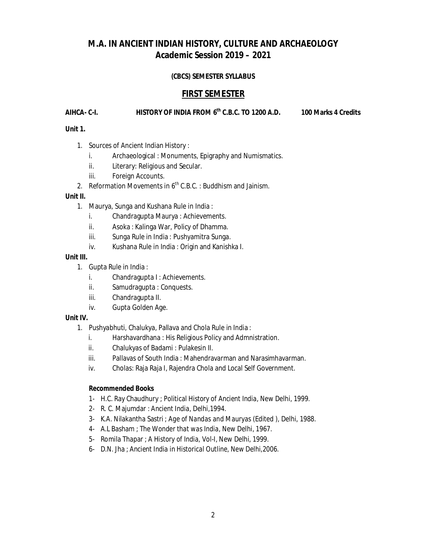## **M.A. IN ANCIENT INDIAN HISTORY, CULTURE AND ARCHAEOLOGY Academic Session 2019 – 2021**

## **(CBCS) SEMESTER SYLLABUS**

## **FIRST SEMESTER**

## **AIHCA- C-I. HISTORY OF INDIA FROM 6th C.B.C. TO 1200 A.D. 100 Marks 4 Credits**

## **Unit 1.**

- 1. Sources of Ancient Indian History :
	- i. Archaeological : Monuments, Epigraphy and Numismatics.
	- ii. Literary: Religious and Secular.
	- iii. Foreign Accounts.
- 2. Reformation Movements in  $6<sup>th</sup>$  C.B.C. : Buddhism and Jainism.

## **Unit II.**

- 1. Maurya, Sunga and Kushana Rule in India :
	- i. Chandragupta Maurya : Achievements.
	- ii. Asoka : Kalinga War, Policy of Dhamma.
	- iii. Sunga Rule in India : Pushyamitra Sunga.
	- iv. Kushana Rule in India : Origin and Kanishka I.

## **Unit III.**

- 1. Gupta Rule in India :
	- i. Chandragupta I: Achievements.
	- ii. Samudragupta : Conquests.
	- iii. Chandragupta II.
	- iv. Gupta Golden Age.

## **Unit IV.**

- 1. Pushyabhuti, Chalukya, Pallava and Chola Rule in India :
	- i. Harshavardhana : His Religious Policy and Admnistration.
	- ii. Chalukyas of Badami : Pulakesin II.
	- iii. Pallavas of South India : Mahendravarman and Narasimhavarman.
	- iv. Cholas: Raja Raja I, Rajendra Chola and Local Self Government.

- 1- H.C. Ray Chaudhury ; *Political History of Ancient India*, New Delhi, 1999.
- 2- R. C. Majumdar : *Ancient India*, Delhi,1994.
- 3- K.A. Nilakantha Sastri ; *Age of Nandas and Mauryas* (Edited ), Delhi, 1988.
- 4- A.L Basham ; *The Wonder that was India*, New Delhi, 1967.
- 5- Romila Thapar ; *A History of India*, Vol-I, New Delhi, 1999.
- 6- D.N. Jha ; *Ancient India in Historical Outline*, New Delhi,2006.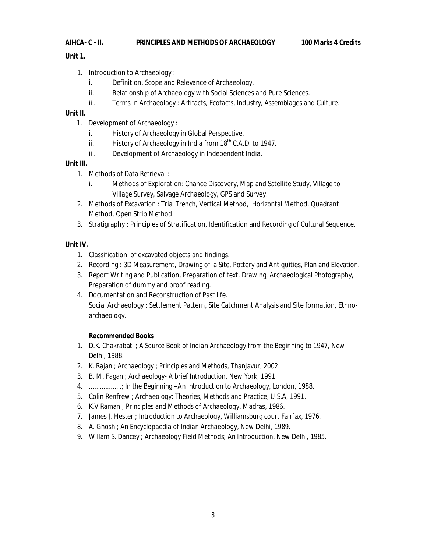## **AIHCA- C - II. PRINCIPLES AND METHODS OF ARCHAEOLOGY 100 Marks 4 Credits**

## **Unit 1.**

- 1. Introduction to Archaeology :
	- i. Definition, Scope and Relevance of Archaeology.
	- ii. Relationship of Archaeology with Social Sciences and Pure Sciences.
	- iii. Terms in Archaeology : Artifacts, Ecofacts, Industry, Assemblages and Culture.

## **Unit II.**

- 1. Development of Archaeology :
	- i. History of Archaeology in Global Perspective.
	- ii. History of Archaeology in India from  $18<sup>th</sup>$  C.A.D. to 1947.
	- iii. Development of Archaeology in Independent India.

## **Unit III.**

- 1. Methods of Data Retrieval :
	- i. Methods of Exploration: Chance Discovery, Map and Satellite Study, Village to Village Survey, Salvage Archaeology, GPS and Survey.
- 2. Methods of Excavation : Trial Trench, Vertical Method, Horizontal Method, Quadrant Method, Open Strip Method.
- 3. Stratigraphy : Principles of Stratification, Identification and Recording of Cultural Sequence.

## **Unit IV.**

- 1. Classification of excavated objects and findings.
- 2. Recording : 3D Measurement, Drawing of a Site, Pottery and Antiquities, Plan and Elevation.
- 3. Report Writing and Publication, Preparation of text, Drawing, Archaeological Photography, Preparation of dummy and proof reading.
- 4. Documentation and Reconstruction of Past life. Social Archaeology : Settlement Pattern, Site Catchment Analysis and Site formation, Ethnoarchaeology.

- 1. D.K. Chakrabati ; *A Source Book of Indian Archaeology from the Beginning to 1947*, New Delhi, 1988.
- 2. K. Rajan ; *Archaeology ; Principles and Methods*, Thanjavur, 2002.
- 3. B. M. Fagan ; *Archaeology- A brief Introduction,* New York*,* 1991.
- 4. ..................; *In the Beginning –An Introduction to Archaeology*, London, 1988.
- 5. Colin Renfrew ; *Archaeology: Theories, Methods and Practice*, U.S.A, 1991.
- 6. K.V Raman ; *Principles and Methods of Archaeology*, Madras, 1986.
- 7. James J. Hester ; *Introduction to Archaeology*, Williamsburg court Fairfax, 1976.
- 8. A. Ghosh ; *An Encyclopaedia of Indian Archaeology*, New Delhi, 1989.
- 9. Willam S. Dancey ; *Archaeology Field Methods; An Introduction*, New Delhi, 1985.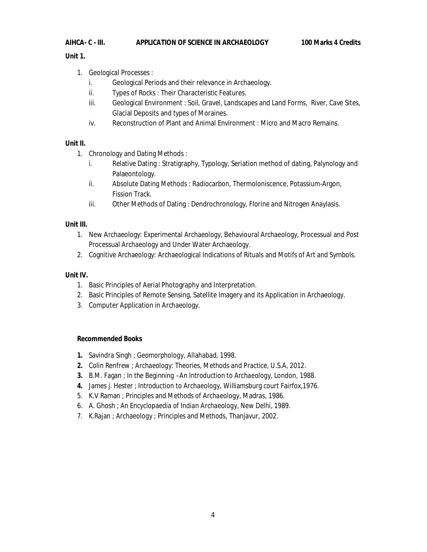## **AIHCA- C - III. APPLICATION OF SCIENCE IN ARCHAEOLOGY 100 Marks 4 Credits**

## **Unit 1.**

- 1. Geological Processes :
	- i. Geological Periods and their relevance in Archaeology.
	- ii. Types of Rocks : Their Characteristic Features.
	- iii. Geological Environment : Soil, Gravel, Landscapes and Land Forms, River, Cave Sites, Glacial Deposits and types of Moraines.
	- iv. Reconstruction of Plant and Animal Environment : Micro and Macro Remains.

## **Unit II.**

- 1. Chronology and Dating Methods :
	- i. Relative Dating : Stratigraphy, Typology, Seriation method of dating, Palynology and Palaeontology.
	- ii. Absolute Dating Methods : Radiocarbon, Thermoloniscence, Potassium-Argon, Fission Track.
	- iii. Other Methods of Dating : Dendrochronology, Florine and Nitrogen Anaylasis.

## **Unit III.**

- 1. New Archaeology: Experimental Archaeology, Behavioural Archaeology, Processual and Post Processual Archaeology and Under Water Archaeology.
- 2. Cognitive Archaeology: Archaeological Indications of Rituals and Motifs of Art and Symbols.

## **Unit IV.**

- 1. Basic Principles of Aerial Photography and Interpretation.
- 2. Basic Principles of Remote Sensing, Satellite Imagery and its Application in Archaeology.
- 3. Computer Application in Archaeology.

- **1.** Savindra Singh ; *Geomorphology*, Allahabad, 1998.
- **2.** Colin Renfrew ; *Archaeology: Theories, Methods and Practice*, U.S.A, 2012.
- **3.** B.M. Fagan ; *In the Beginning –An Introduction to Archaeology*, London, 1988.
- **4.** James j. Hester ; *Introduction to Archaeology*, Williamsburg court Fairfox,1976.
- 5. K.V Raman ; *Principles and Methods of Archaeology*, Madras, 1986.
- 6. A. Ghosh ; *An Encyclopaedia of Indian Archaeology*, New Delhi, 1989.
- 7. K.Rajan ; *Archaeology ; Principles and Methods*, Thanjavur, 2002.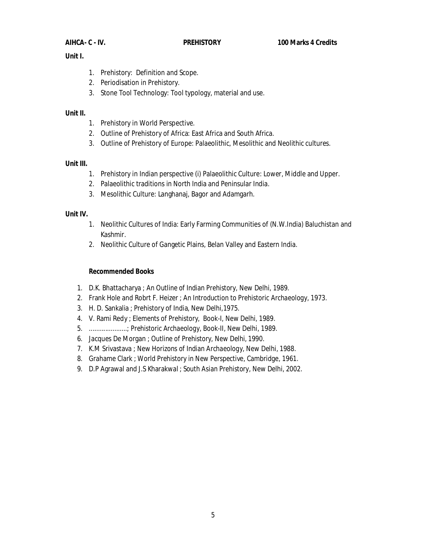## **Unit I.**

- 1. Prehistory: Definition and Scope.
- 2. Periodisation in Prehistory.
- 3. Stone Tool Technology: Tool typology, material and use.

## **Unit II.**

- 1. Prehistory in World Perspective.
- 2. Outline of Prehistory of Africa: East Africa and South Africa.
- 3. Outline of Prehistory of Europe: Palaeolithic, Mesolithic and Neolithic cultures.

## **Unit III.**

- 1. Prehistory in Indian perspective (i) Palaeolithic Culture: Lower, Middle and Upper.
- 2. Palaeolithic traditions in North India and Peninsular India.
- 3. Mesolithic Culture: Langhanaj, Bagor and Adamgarh.

## **Unit IV.**

- 1. Neolithic Cultures of India: Early Farming Communities of (N.W.India) Baluchistan and Kashmir.
- 2. Neolithic Culture of Gangetic Plains, Belan Valley and Eastern India.

- 1. D.K. Bhattacharya ; *An Outline of Indian Prehistory*, New Delhi, 1989.
- 2. Frank Hole and Robrt F. Heizer ; *An Introduction to Prehistoric Archaeology,* 1973.
- 3. H. D. Sankalia ; Prehistory of India, New Delhi,1975.
- 4. V. Rami Redy ; *Elements of Prehistory,* Book-I, New Delhi, 1989.
- 5. .....................; *Prehistoric Archaeology,* Book-II, New Delhi, 1989.
- 6. Jacques De Morgan ; *Outline of Prehistory*, New Delhi, 1990.
- 7. K.M Srivastava ; *New Horizons of Indian Archaeology*, New Delhi, 1988.
- 8. Grahame Clark *; World Prehistory in New Perspective*, Cambridge, 1961.
- 9. D.P Agrawal and J.S Kharakwal ; *South Asian Prehistory*, New Delhi, 2002.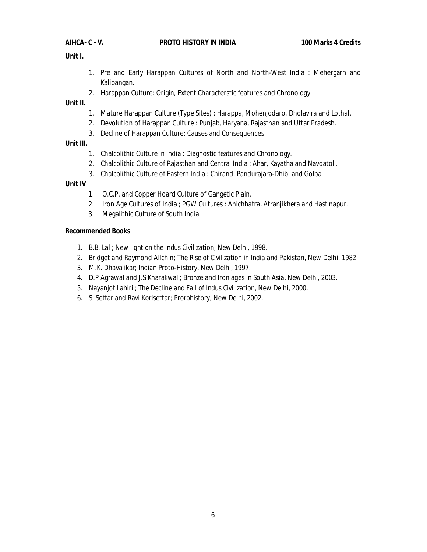## **Unit I.**

- 1. Pre and Early Harappan Cultures of North and North-West India : Mehergarh and Kalibangan.
- 2. Harappan Culture: Origin, Extent Characterstic features and Chronology.

## **Unit II.**

- 1. Mature Harappan Culture (Type Sites) : Harappa, Mohenjodaro, Dholavira and Lothal.
- 2. Devolution of Harappan Culture : Punjab, Haryana, Rajasthan and Uttar Pradesh.
- 3. Decline of Harappan Culture: Causes and Consequences

## **Unit III.**

- 1. Chalcolithic Culture in India : Diagnostic features and Chronology.
- 2. Chalcolithic Culture of Rajasthan and Central India : Ahar, Kayatha and Navdatoli.
- 3. Chalcolithic Culture of Eastern India : Chirand, Pandurajara-Dhibi and Golbai.

## **Unit IV**.

- 1. O.C.P. and Copper Hoard Culture of Gangetic Plain.
- 2. Iron Age Cultures of India ; PGW Cultures : Ahichhatra, Atranjikhera and Hastinapur.
- 3. Megalithic Culture of South India.

- 1. B.B. Lal ; *New light on the Indus Civilization*, New Delhi, 1998.
- 2. Bridget and Raymond Allchin; *The Rise of Civilization in India and Pakistan*, New Delhi, 1982.
- 3. M.K. Dhavalikar; *Indian Proto-History*, New Delhi, 1997.
- 4. D.P Agrawal and J.S Kharakwal ; *Bronze and Iron ages in South Asia*, New Delhi, 2003.
- 5. Nayanjot Lahiri ; *The Decline and Fall of Indus Civilization*, New Delhi, 2000.
- 6. S. Settar and Ravi Korisettar; *Prorohistory*, New Delhi, 2002.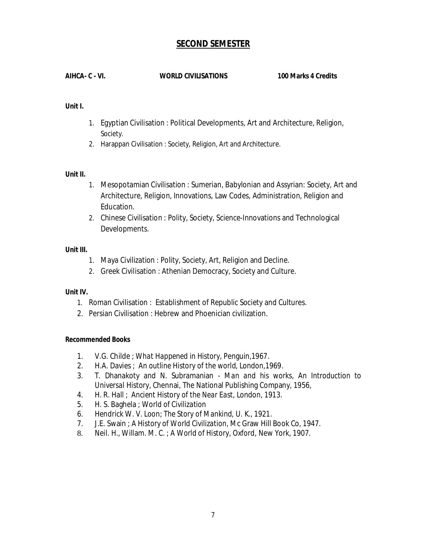## **SECOND SEMESTER**

## **AIHCA- C - VI. WORLD CIVILISATIONS 100 Marks 4 Credits**

## **Unit I.**

- 1. Egyptian Civilisation : Political Developments, Art and Architecture, Religion, Society.
- 2. Harappan Civilisation : Society, Religion, Art and Architecture.

## **Unit II.**

- 1. Mesopotamian Civilisation : Sumerian, Babylonian and Assyrian: Society, Art and Architecture, Religion, Innovations, Law Codes, Administration, Religion and Education.
- 2. Chinese Civilisation : Polity, Society, Science-Innovations and Technological Developments.

## **Unit III.**

- 1. Maya Civilization : Polity, Society, Art, Religion and Decline.
- 2. Greek Civilisation : Athenian Democracy, Society and Culture.

## **Unit IV.**

- 1. Roman Civilisation : Establishment of Republic Society and Cultures.
- 2. Persian Civilisation : Hebrew and Phoenician civilization.

- 1. V.G. Childe ; *What Happened in History*, Penguin,1967.
- 2. H.A. Davies ; *An outline History of the world*, London,1969.
- 3. T. Dhanakoty and N. Subramanian *Man and his works*, *An Introduction to Universal History*, Chennai, The National Publishing Company, 1956,
- 4. H. R. Hall ; *Ancient History of the Near East,* London, 1913.
- 5. H. S. Baghela ; *World of Civilization*
- 6. Hendrick W. V. Loon; *The Story of Mankind,* U. K., 1921.
- 7. J.E. Swain ; *A History of World Civilization*, Mc Graw Hill Book Co, 1947.
- 8. Neil. H., Willam. M. C. ; *A World of History*, Oxford, New York, 1907.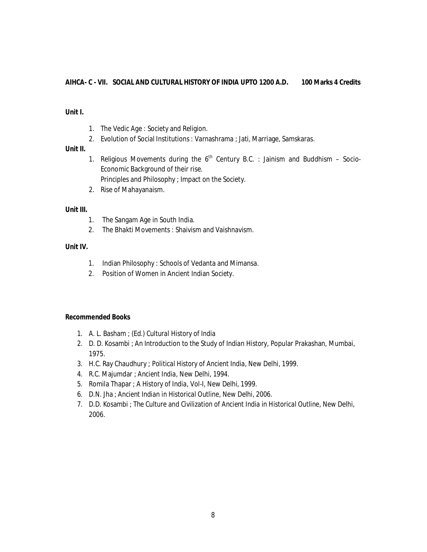## **AIHCA- C - VII. SOCIAL AND CULTURAL HISTORY OF INDIA UPTO 1200 A.D. 100 Marks 4 Credits**

## **Unit I.**

- 1. The Vedic Age : Society and Religion.
- 2. Evolution of Social Institutions : Varnashrama ; Jati, Marriage, Samskaras.

## **Unit II.**

- 1. Religious Movements during the  $6<sup>th</sup>$  Century B.C. : Jainism and Buddhism Socio-Economic Background of their rise. Principles and Philosophy ; Impact on the Society.
- 2. Rise of Mahayanaism.

## **Unit III.**

- 1. The Sangam Age in South India.
- 2. The Bhakti Movements : Shaivism and Vaishnavism.

## **Unit IV.**

- 1. Indian Philosophy : Schools of Vedanta and Mimansa.
- 2. Position of Women in Ancient Indian Society.

- 1. A. L. Basham ; (Ed.) *Cultural History of India*
- 2. D. D. Kosambi ; *An Introduction to the Study of Indian History*, Popular Prakashan, Mumbai, 1975.
- 3. H.C. Ray Chaudhury ; *Political History of Ancient India*, New Delhi, 1999.
- 4. R.C. Majumdar ; *Ancient India*, New Delhi, 1994.
- 5. Romila Thapar ; *A History of India*, Vol-I, New Delhi, 1999.
- 6. D.N. Jha ; *Ancient Indian in Historical Outline*, New Delhi, 2006.
- 7. D.D. Kosambi ; *The Culture and Civilization of Ancient India in Historical Outline,* New Delhi*,*  2006.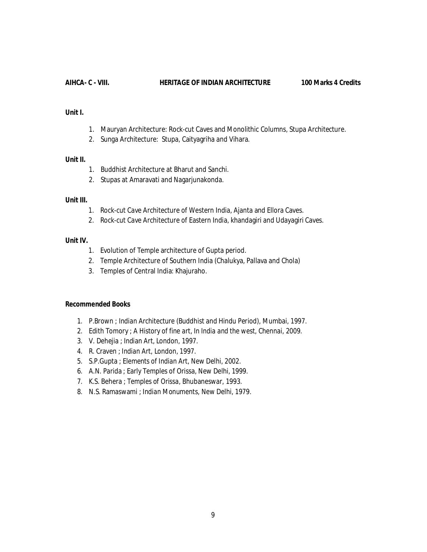#### **AIHCA- C - VIII. HERITAGE OF INDIAN ARCHITECTURE 100 Marks 4 Credits**

## **Unit I.**

- 1. Mauryan Architecture: Rock-cut Caves and Monolithic Columns, Stupa Architecture.
- 2. Sunga Architecture: Stupa, Caityagriha and Vihara.

## **Unit II.**

- 1. Buddhist Architecture at Bharut and Sanchi.
- 2. Stupas at Amaravati and Nagarjunakonda.

## **Unit III.**

- 1. Rock-cut Cave Architecture of Western India, Ajanta and Ellora Caves.
- 2. Rock-cut Cave Architecture of Eastern India, khandagiri and Udayagiri Caves.

## **Unit IV.**

- 1. Evolution of Temple architecture of Gupta period.
- 2. Temple Architecture of Southern India (Chalukya, Pallava and Chola)
- 3. Temples of Central India: Khajuraho.

- 1. P.Brown ; *Indian Architecture* (Buddhist and Hindu Period), Mumbai, 1997.
- 2. Edith Tomory ; *A History of fine art*, *In India and the west,* Chennai, 2009.
- 3. V. Dehejia ; *Indian Art*, London, 1997.
- 4. R. Craven ; *Indian Art,* London, 1997.
- 5. S.P.Gupta ; *Elements of Indian Art,* New Delhi, 2002.
- 6. A.N. Parida ; Early Temples of Orissa, New Delhi, 1999.
- 7. K.S. Behera ; *Temples of Orissa,* Bhubaneswar, 1993.
- 8. N.S. Ramaswami ; *Indian Monuments*, New Delhi, 1979.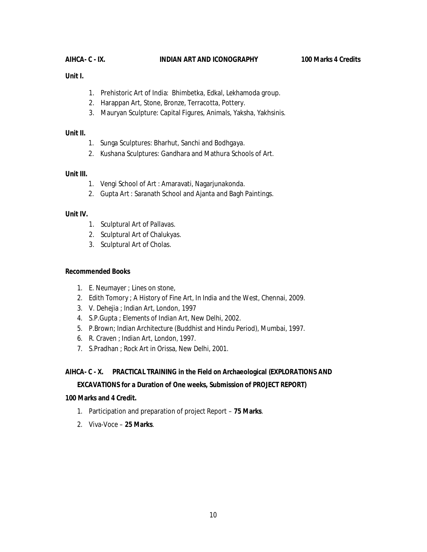## **AIHCA- C - IX. INDIAN ART AND ICONOGRAPHY 100 Marks 4 Credits**

## **Unit I.**

- 1. Prehistoric Art of India: Bhimbetka, Edkal, Lekhamoda group.
- 2. Harappan Art, Stone, Bronze, Terracotta, Pottery.
- 3. Mauryan Sculpture: Capital Figures, Animals, Yaksha, Yakhsinis.

#### **Unit II.**

- 1. Sunga Sculptures: Bharhut, Sanchi and Bodhgaya.
- 2. Kushana Sculptures: Gandhara and Mathura Schools of Art.

#### **Unit III.**

- 1. Vengi School of Art : Amaravati, Nagarjunakonda.
- 2. Gupta Art : Saranath School and Ajanta and Bagh Paintings.

#### **Unit IV.**

- 1. Sculptural Art of Pallavas.
- 2. Sculptural Art of Chalukyas.
- 3. Sculptural Art of Cholas.

## **Recommended Books**

- 1. E. Neumayer ; Lines on stone,
- 2. Edith Tomory ; *A History of Fine Art*, In *India and the West,* Chennai, 2009.
- 3. V. Dehejia ; *Indian Art*, London, 1997
- 4. S.P.Gupta ; *Elements of Indian Art,* New Delhi, 2002.
- 5. P.Brown; *Indian Architecture* (Buddhist and Hindu Period), Mumbai, 1997.
- 6. R. Craven ; *Indian Art,* London, 1997.
- 7. S.Pradhan ; Rock Art in Orissa, New Delhi, 2001.

## **AIHCA- C - X. PRACTICAL TRAINING in the Field on Archaeological (EXPLORATIONS AND**

## **EXCAVATIONS for a Duration of One weeks, Submission of PROJECT REPORT)**

#### **100 Marks and 4 Credit.**

- 1. Participation and preparation of project Report **75 Marks**.
- 2. Viva-Voce **25 Marks**.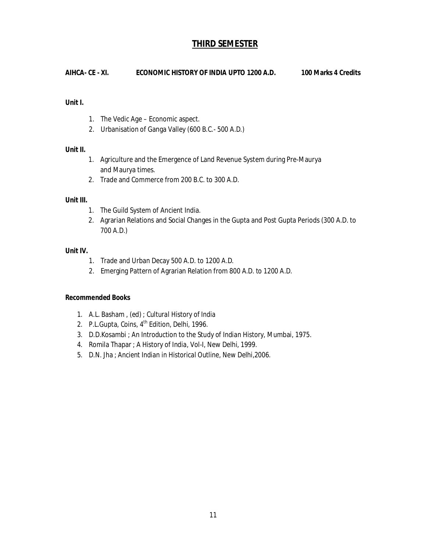## **THIRD SEMESTER**

**AIHCA- CE - XI. ECONOMIC HISTORY OF INDIA UPTO 1200 A.D. 100 Marks 4 Credits** 

## **Unit I.**

- 1. The Vedic Age Economic aspect.
- 2. Urbanisation of Ganga Valley (600 B.C.- 500 A.D.)

## **Unit II.**

- 1. Agriculture and the Emergence of Land Revenue System during Pre-Maurya and Maurya times.
- 2. Trade and Commerce from 200 B.C. to 300 A.D.

## **Unit III.**

- 1. The Guild System of Ancient India.
- 2. Agrarian Relations and Social Changes in the Gupta and Post Gupta Periods (300 A.D. to 700 A.D.)

## **Unit IV.**

- 1. Trade and Urban Decay 500 A.D. to 1200 A.D.
- 2. Emerging Pattern of Agrarian Relation from 800 A.D. to 1200 A.D.

- 1. A.L. Basham , (ed) ; *Cultural History of India*
- 2. P.L.Gupta, *Coins*, 4<sup>th</sup> Edition, Delhi, 1996.
- 3. D.D.Kosambi ; *An Introduction to the Study of Indian History*, Mumbai, 1975.
- 4. Romila Thapar ; *A History of India*, Vol-I, New Delhi, 1999.
- 5. D.N. Jha ; *Ancient Indian in Historical Outline*, New Delhi,2006.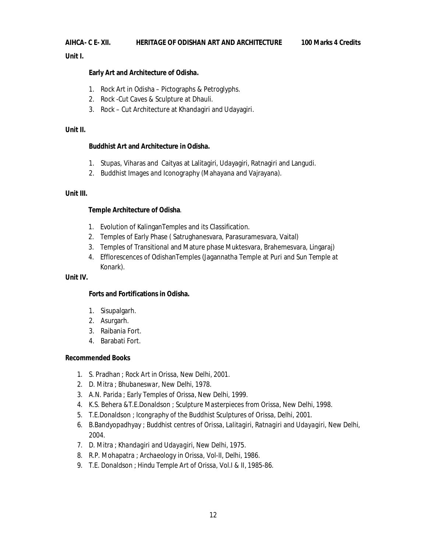## **AIHCA- C E- XII. HERITAGE OF ODISHAN ART AND ARCHITECTURE 100 Marks 4 Credits**

**Unit I.**

## **Early Art and Architecture of Odisha.**

- 1. Rock Art in Odisha Pictographs & Petroglyphs.
- 2. Rock -Cut Caves & Sculpture at Dhauli.
- 3. Rock Cut Architecture at Khandagiri and Udayagiri.

## **Unit II.**

## **Buddhist Art and Architecture in Odisha.**

- 1. Stupas, Viharas and Caityas at Lalitagiri, Udayagiri, Ratnagiri and Langudi.
- 2. Buddhist Images and Iconography (Mahayana and Vajrayana).

## **Unit III.**

## **Temple Architecture of Odisha**.

- 1. Evolution of KalinganTemples and its Classification.
- 2. Temples of Early Phase ( Satrughanesvara, Parasuramesvara, Vaital)
- 3. Temples of Transitional and Mature phase Muktesvara, Brahemesvara, Lingaraj)
- 4. Efflorescences of OdishanTemples (Jagannatha Temple at Puri and Sun Temple at Konark).

## **Unit IV.**

## **Forts and Fortifications in Odisha.**

- 1. Sisupalgarh.
- 2. Asurgarh.
- 3. Raibania Fort.
- 4. Barabati Fort.

- 1. S. Pradhan ; *Rock Art in Orissa,* New Delhi, 2001.
- 2. D. Mitra ; *Bhubaneswar,* New Delhi, 1978.
- 3. A.N. Parida ; *Early Temples of Orissa*, New Delhi, 1999.
- 4. K.S. Behera &T.E.Donaldson ; *Sculpture Masterpieces from Orissa*, New Delhi, 1998.
- 5. T.E.Donaldson ; *Icongraphy of the Buddhist Sculptures of Orissa,* Delhi, 2001.
- 6. B.Bandyopadhyay ; *Buddhist centres of Orissa, Lalitagiri, Ratnagiri and Udayagiri,* New Delhi, 2004.
- 7. D. Mitra ; *Khandagiri and Udayagiri*, New Delhi, 1975.
- 8. R.P. Mohapatra ; *Archaeology in Orissa*, Vol-II, Delhi, 1986.
- 9. T.E. Donaldson ; *Hindu Temple Art of Orissa*, Vol.I & II, 1985-86.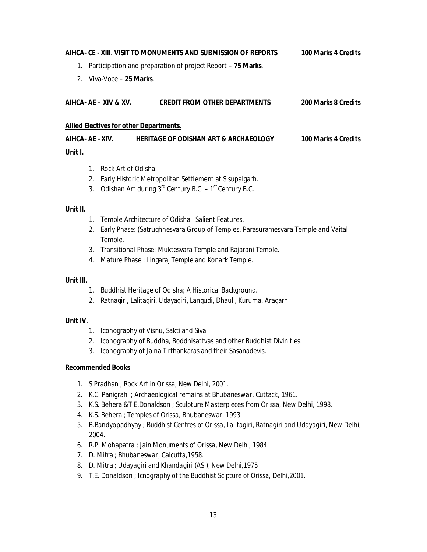# **AIHCA- CE - XIII. VISIT TO MONUMENTS AND SUBMISSION OF REPORTS 100 Marks 4 Credits**  1. Participation and preparation of project Report – **75 Marks**. 2. Viva-Voce – **25 Marks**. **AIHCA- AE – XIV & XV. CREDIT FROM OTHER DEPARTMENTS 200 Marks 8 Credits Allied Electives for other Departments. AIHCA- AE - XIV. HERITAGE OF ODISHAN ART & ARCHAEOLOGY 100 Marks 4 Credits Unit I.**

- 1. Rock Art of Odisha.
- 2. Early Historic Metropolitan Settlement at Sisupalgarh.
- 3. Odishan Art during  $3<sup>rd</sup>$  Century B.C. 1<sup>st</sup> Century B.C.

## **Unit II.**

- 1. Temple Architecture of Odisha : Salient Features.
- 2. Early Phase: (Satrughnesvara Group of Temples, Parasuramesvara Temple and Vaital Temple.
- 3. Transitional Phase: Muktesvara Temple and Rajarani Temple.
- 4. Mature Phase : Lingaraj Temple and Konark Temple.

## **Unit III.**

- 1. Buddhist Heritage of Odisha; A Historical Background.
- 2. Ratnagiri, Lalitagiri, Udayagiri, Langudi, Dhauli, Kuruma, Aragarh

## **Unit IV.**

- 1. Iconography of Visnu, Sakti and Siva.
- 2. Iconography of Buddha, Boddhisattvas and other Buddhist Divinities.
- 3. Iconography of Jaina Tirthankaras and their Sasanadevis.

- 1. S.Pradhan ; *Rock Art in Orissa,* New Delhi, 2001.
- 2. K.C. Panigrahi ; *Archaeological remains at Bhubaneswar*, Cuttack, 1961.
- 3. K.S. Behera &T.E.Donaldson ; *Sculpture Masterpieces from Orissa*, New Delhi, 1998.
- 4. K.S. Behera ; *Temples of Orissa,* Bhubaneswar, 1993.
- 5. B.Bandyopadhyay ; *Buddhist Centres of Orissa, Lalitagiri, Ratnagiri and Udayagiri,* New Delhi, 2004.
- 6. R.P. Mohapatra ; *Jain Monuments of Orissa,* New Delhi, 1984.
- 7. D. Mitra ; *Bhubaneswar*, Calcutta,1958.
- 8. D. Mitra ; *Udayagiri and Khandagiri* (ASI), New Delhi,1975
- 9. T.E. Donaldson ; *Icnography of the Buddhist Sclpture of Orissa*, Delhi,2001.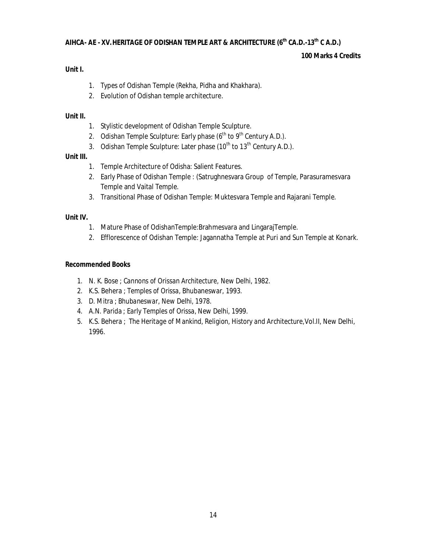## **AIHCA- AE - XV.HERITAGE OF ODISHAN TEMPLE ART & ARCHITECTURE (6th CA.D.-13th C A.D.)**

## **100 Marks 4 Credits**

## **Unit I.**

- 1. Types of Odishan Temple (Rekha, Pidha and Khakhara).
- 2. Evolution of Odishan temple architecture.

## **Unit II.**

- 1. Stylistic development of Odishan Temple Sculpture.
- 2. Odishan Temple Sculpture: Early phase  $(6^{th}$  to  $9^{th}$  Century A.D.).
- 3. Odishan Temple Sculpture: Later phase  $(10<sup>th</sup>$  to  $13<sup>th</sup>$  Century A.D.).

## **Unit III.**

- 1. Temple Architecture of Odisha: Salient Features.
- 2. Early Phase of Odishan Temple : (Satrughnesvara Group of Temple, Parasuramesvara Temple and Vaital Temple.
- 3. Transitional Phase of Odishan Temple: Muktesvara Temple and Rajarani Temple.

## **Unit IV.**

- 1. Mature Phase of OdishanTemple:Brahmesvara and LingarajTemple.
- 2. Efflorescence of Odishan Temple: Jagannatha Temple at Puri and Sun Temple at Konark.

- 1. N. K. Bose ; *Cannons of Orissan Architecture,* New Delhi, 1982.
- 2. K.S. Behera ; *Temples of Orissa,* Bhubaneswar, 1993.
- 3. D. Mitra ; *Bhubaneswar,* New Delhi, 1978.
- 4. A.N. Parida ; *Early Temples of Orissa*, New Delhi, 1999.
- 5. K.S. Behera ; *The Heritage of Mankind, Religion, History and Architecture,*Vol.II, New Delhi, 1996.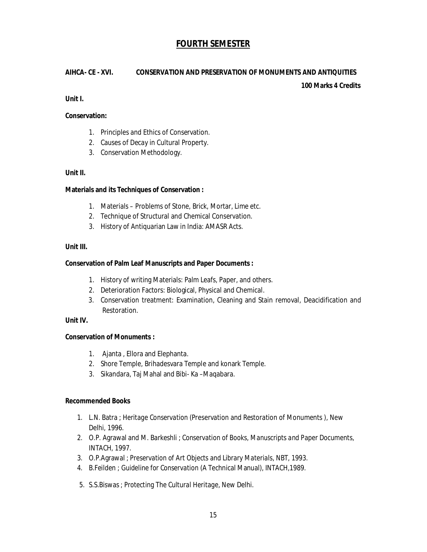## **FOURTH SEMESTER**

## **AIHCA- CE - XVI. CONSERVATION AND PRESERVATION OF MONUMENTS AND ANTIQUITIES**

**100 Marks 4 Credits** 

**Unit I.**

## **Conservation:**

- 1. Principles and Ethics of Conservation.
- 2. Causes of Decay in Cultural Property.
- 3. Conservation Methodology.

## **Unit II.**

## **Materials and its Techniques of Conservation :**

- 1. Materials Problems of Stone, Brick, Mortar, Lime etc.
- 2. Technique of Structural and Chemical Conservation.
- 3. History of Antiquarian Law in India: AMASR Acts.

## **Unit III.**

## **Conservation of Palm Leaf Manuscripts and Paper Documents :**

- 1. History of writing Materials: Palm Leafs, Paper, and others.
- 2. Deterioration Factors: Biological, Physical and Chemical.
- 3. Conservation treatment: Examination, Cleaning and Stain removal, Deacidification and Restoration.

## **Unit IV.**

## **Conservation of Monuments :**

- 1. Ajanta , Ellora and Elephanta.
- 2. Shore Temple, Brihadesvara Temple and konark Temple.
- 3. Sikandara, Taj Mahal and Bibi- Ka –Maqabara.

- 1. L.N. Batra ; *Heritage Conservation* (Preservation and Restoration of Monuments ), New Delhi, 1996.
- 2. O.P. Agrawal and M. Barkeshli ; *Conservation of Books, Manuscripts and Paper Documents*, INTACH, 1997.
- 3. O.P.Agrawal ; *Preservation of Art Objects and Library Materials*, NBT, 1993.
- 4. B.Feilden ; *Guideline for Conservation* (A Technical Manual), INTACH,1989.
- 5. S.S.Biswas ; *Protecting The Cultural Heritage*, New Delhi.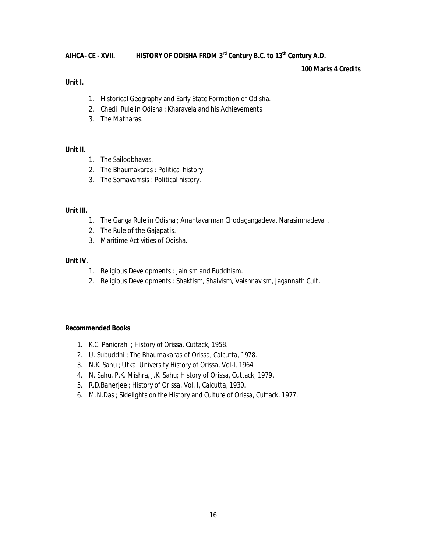## **AIHCA- CE - XVII. HISTORY OF ODISHA FROM 3 rd Century B.C. to 13th Century A.D.**

## **100 Marks 4 Credits**

## **Unit I.**

- 1. Historical Geography and Early State Formation of Odisha.
- 2. Chedi Rule in Odisha : Kharavela and his Achievements
- 3. The Matharas.

## **Unit II.**

- 1. The Sailodbhavas.
- 2. The Bhaumakaras : Political history.
- 3. The Somavamsis : Political history.

## **Unit III.**

- 1. The Ganga Rule in Odisha ; Anantavarman Chodagangadeva, Narasimhadeva I.
- 2. The Rule of the Gajapatis.
- 3. Maritime Activities of Odisha.

## **Unit IV.**

- 1. Religious Developments : Jainism and Buddhism.
- 2. Religious Developments : Shaktism, Shaivism, Vaishnavism, Jagannath Cult.

- 1. K.C. Panigrahi ; *History of Orissa*, Cuttack, 1958.
- 2. U. Subuddhi ; *The Bhaumakaras of Orissa*, Calcutta, 1978.
- 3. N.K. Sahu ; *Utkal University History of Orissa*, Vol-I, 1964
- 4. N. Sahu, P.K. Mishra, J.K. Sahu; *History of Orissa*, Cuttack, 1979.
- 5. R.D.Banerjee ; *History of Orissa*, Vol. I, Calcutta, 1930.
- 6. M.N.Das ; S*idelights on the History and Culture of Orissa,* Cuttack, 1977.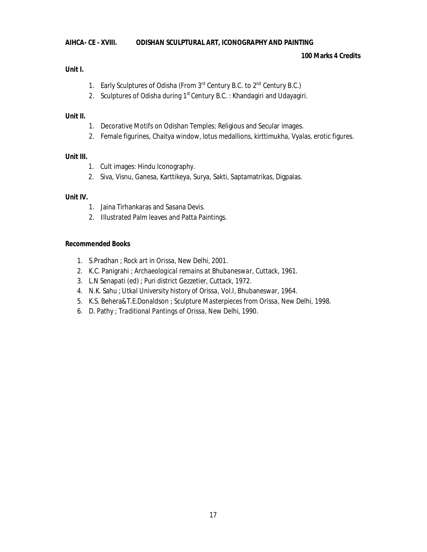## **AIHCA- CE - XVIII. ODISHAN SCULPTURAL ART, ICONOGRAPHY AND PAINTING**

## **100 Marks 4 Credits**

## **Unit I.**

- 1. Early Sculptures of Odisha (From 3<sup>rd</sup> Century B.C. to 2<sup>nd</sup> Century B.C.)
- 2. Sculptures of Odisha during 1<sup>st</sup> Century B.C. : Khandagiri and Udayagiri.

## **Unit II.**

- 1. Decorative Motifs on Odishan Temples; Religious and Secular images.
- 2. Female figurines, Chaitya window, lotus medallions, kirttimukha, Vyalas, erotic figures.

## **Unit III.**

- 1. Cult images: Hindu Iconography.
- 2. Siva, Visnu, Ganesa, Karttikeya, Surya, Sakti, Saptamatrikas, Digpalas.

## **Unit IV.**

- 1. Jaina Tirhankaras and Sasana Devis.
- 2. Illustrated Palm leaves and Patta Paintings.

- 1. S.Pradhan ; *Rock art in Orissa,* New Delhi, 2001.
- 2. K.C. Panigrahi ; *Archaeological remains at Bhubaneswar*, Cuttack, 1961.
- 3. L.N Senapati (ed) ; *Puri district Gezzetier*, Cuttack, 1972.
- 4. N.K. Sahu ; *Utkal University history of Orissa,* Vol.I, Bhubaneswar, 1964.
- 5. K.S. Behera&T.E.Donaldson ; *Sculpture Masterpieces from Orissa*, New Delhi, 1998.
- 6. D. Pathy ; *Traditional Pantings of Orissa,* New Delhi, 1990.